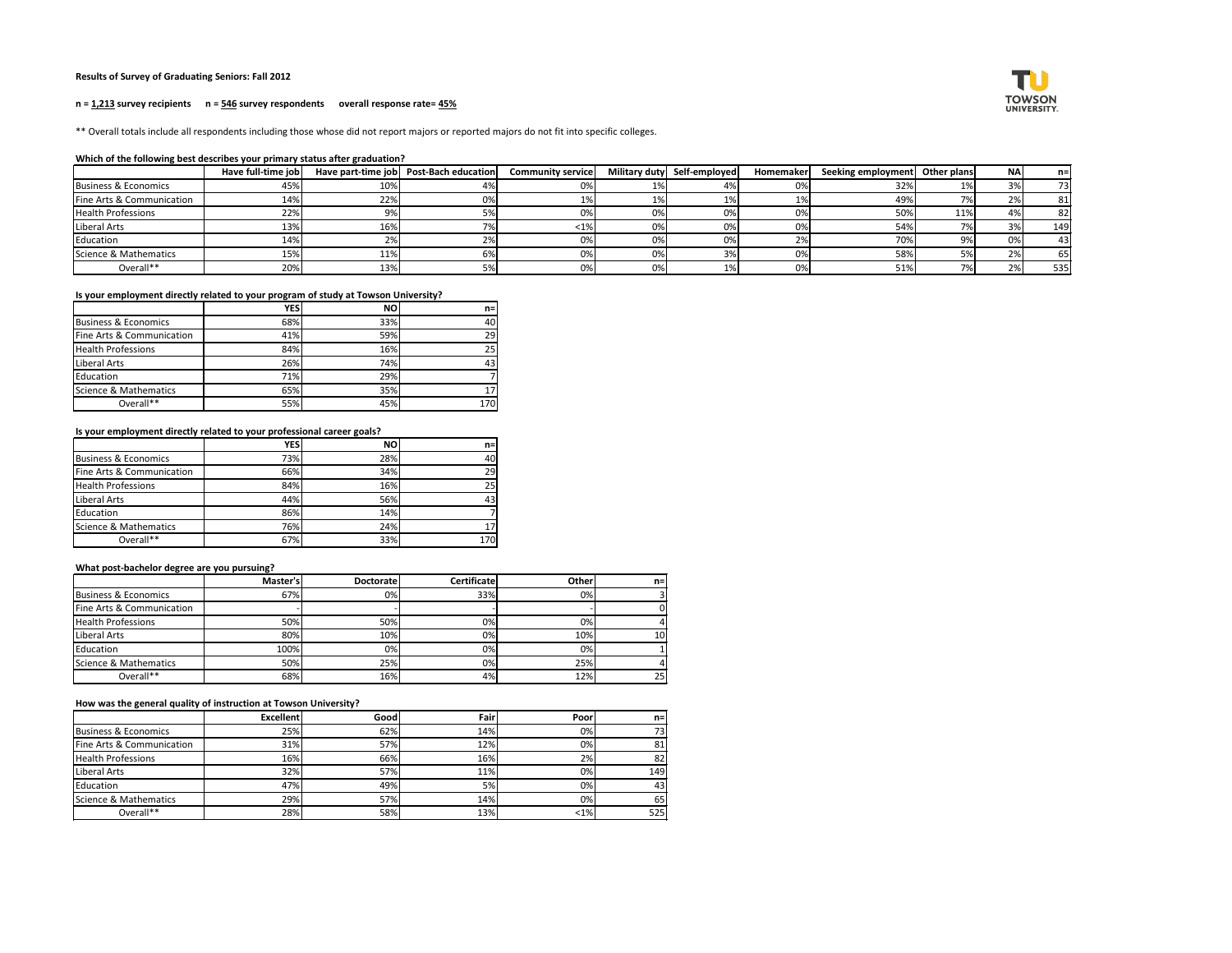### **Results of Survey of Graduating Seniors: Fall 2012**

#### **n = 1,213 survey recipients n = 546 survey respondents overall response rate= 45%**

\*\* Overall totals include all respondents including those whose did not report majors or reported majors do not fit into specific colleges.

#### **Which of the following best describes your primary status after graduation?**

|                                 | Have full-time job |     | Have part-time job   Post-Bach education | <b>Community service</b> |           | Military duty Self-employed | Homemaker | Seeking employment Other plans |     | NA | $n=1$ |
|---------------------------------|--------------------|-----|------------------------------------------|--------------------------|-----------|-----------------------------|-----------|--------------------------------|-----|----|-------|
| <b>Business &amp; Economics</b> | 45%                | 10% |                                          | 0%                       | <b>1%</b> | 470                         | 0%        | 32%                            | 10/ | 3% | 73    |
| Fine Arts & Communication       | 14%                | 22% | ጋ%                                       | 1%                       | 1%        |                             | 1%        | 49%                            |     | 2% | 81    |
| <b>Health Professions</b>       | 22%                |     |                                          | 0%                       | 0%        | 0%                          | 0%        | 50%                            | 11% | 4% | 82    |
| Liberal Arts                    | 13%                | 16% |                                          | $< 1\%$                  | 0%        | 0%                          | 0%        | 54%                            |     | 3% | 149   |
| Education                       | 14%                |     |                                          | 0%                       | 0%        | 0%                          | 2%        | 70%                            |     | 0% | 43    |
| Science & Mathematics           | 15%                | 11% |                                          | 0%                       | 0%        | 3%                          | 0%        | 58%                            |     | 2% | 65    |
| Overall**                       | 20%                | 13% |                                          | 0%                       | 0%        |                             | 0%        | 51%                            |     | 2% | 535   |

### **Is your employment directly related to your program of study at Towson University?**

|                                 | <b>YES</b> | <b>NO</b> | $n=1$ |
|---------------------------------|------------|-----------|-------|
| <b>Business &amp; Economics</b> | 68%        | 33%       | 40    |
| Fine Arts & Communication       | 41%        | 59%       | 29    |
| <b>Health Professions</b>       | 84%        | 16%       | 25    |
| Liberal Arts                    | 26%        | 74%       | 43    |
| Education                       | 71%        | 29%       | 7     |
| Science & Mathematics           | 65%        | 35%       | 17    |
| Overall**                       | 55%        | 45%       | 170   |

### **Is your employment directly related to your professional career goals?**

|                                 | <b>YES</b> | <b>NO</b> | $n=$ |
|---------------------------------|------------|-----------|------|
| <b>Business &amp; Economics</b> | 73%        | 28%       | 40   |
| Fine Arts & Communication       | 66%        | 34%       | 29   |
| <b>Health Professions</b>       | 84%        | 16%       | 25   |
| Liberal Arts                    | 44%        | 56%       | 43   |
| Education                       | 86%        | 14%       |      |
| Science & Mathematics           | 76%        | 24%       | 17   |
| Overall**                       | 67%        | 33%       | 170  |

### **What post-bachelor degree are you pursuing?**

|                           | Master's | <b>Doctoratel</b> | <b>Certificate</b> | <b>Other</b> | $n =$ |
|---------------------------|----------|-------------------|--------------------|--------------|-------|
| Business & Economics      | 67%      | 0%                | 33%                | 0%           |       |
| Fine Arts & Communication |          |                   |                    |              |       |
| <b>Health Professions</b> | 50%      | 50%               | 0%                 | 0%           |       |
| Liberal Arts              | 80%      | 10%               | 0%                 | 10%          | 10    |
| Education                 | 100%     | 0%                | 0%                 | 0%I          |       |
| Science & Mathematics     | 50%      | 25%               | 0%                 | 25%          |       |
| Overall**                 | 68%      | 16%               | 4%                 | 12%          | 25    |

#### **How was the general quality of instruction at Towson University?**

|                           | <b>Excellent</b> | Goodl | Fair | Poor    | $n =$ |
|---------------------------|------------------|-------|------|---------|-------|
| Business & Economics      | 25%              | 62%   | 14%  | 0%      | 73    |
| Fine Arts & Communication | 31%              | 57%   | 12%  | 0%      | 81    |
| <b>Health Professions</b> | 16%              | 66%   | 16%  | 2%      | 82    |
| Liberal Arts              | 32%              | 57%   | 11%  | 0%      | 149   |
| Education                 | 47%              | 49%   | 5%   | 0%      | 43    |
| Science & Mathematics     | 29%              | 57%   | 14%  | 0%      | 65    |
| Overall**                 | 28%              | 58%   | 13%  | $< 1\%$ | 525   |

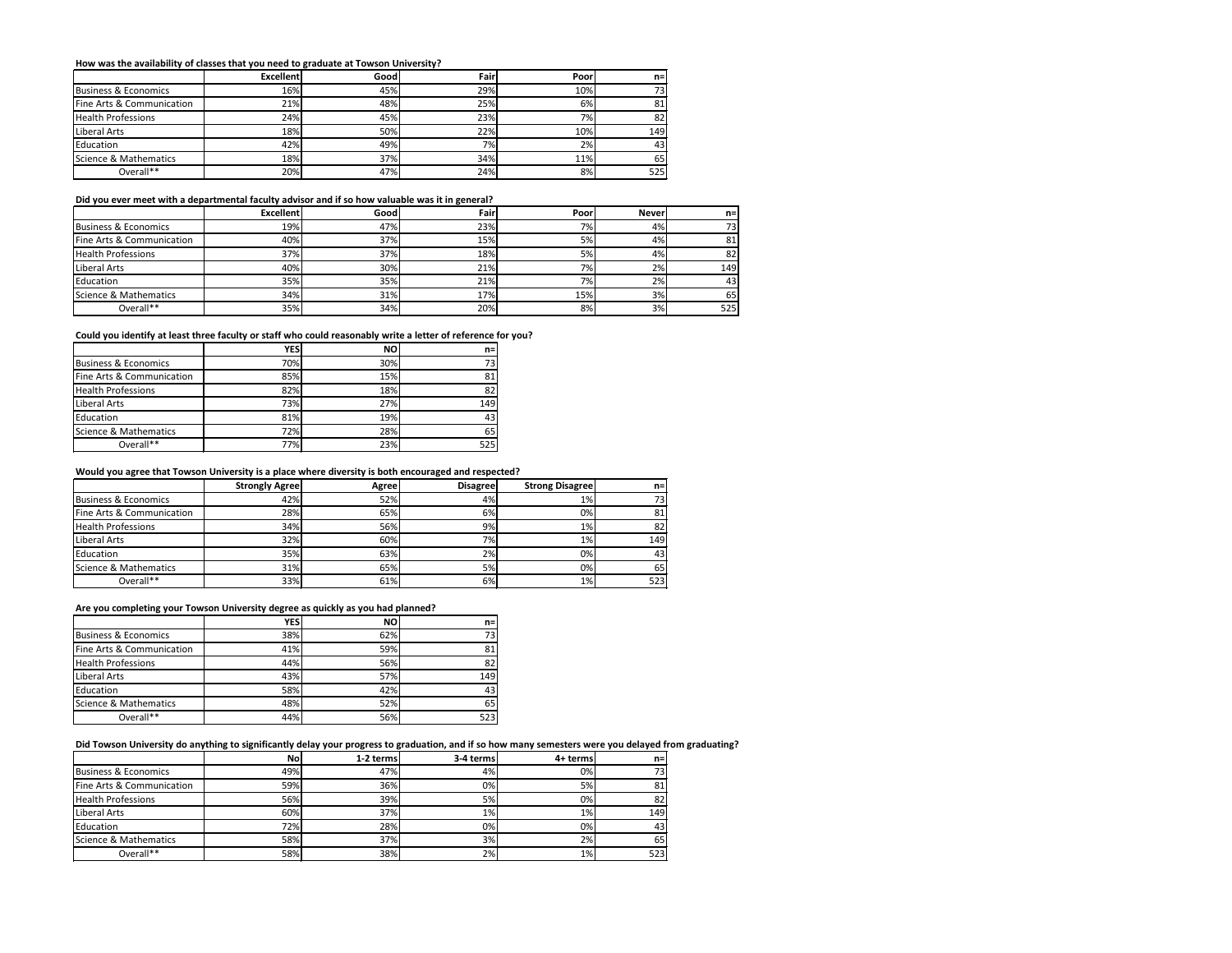# **How was the availability of classes that you need to graduate at Towson University?**

|                           | <b>Excellent</b> | Goodl | <b>Fair</b> | Poor | $n=1$ |
|---------------------------|------------------|-------|-------------|------|-------|
| Business & Economics      | 16%              | 45%   | 29%         | 10%  | 73I   |
| Fine Arts & Communication | 21%              | 48%   | 25%         | 6%   | 81    |
| <b>Health Professions</b> | 24%              | 45%   | 23%         | 7%   | 82    |
| Liberal Arts              | 18%              | 50%   | 22%         | 10%  | 149   |
| Education                 | 42%              | 49%   | 7%          | 2%   | 43    |
| Science & Mathematics     | <b>18%</b>       | 37%   | 34%         | 11%  | 65    |
| Overall**                 | 20%              | 47%   | 24%         | 8%   | 525   |

#### **Did you ever meet with a departmental faculty advisor and if so how valuable was it in general?**

|                           | <b>Excellent</b> | Goodl | Fair | Poor      | <b>Never</b> | $n=$ |
|---------------------------|------------------|-------|------|-----------|--------------|------|
| Business & Economics      | 19%              | 47%   | 23%  | 7%        | 4%           | 73   |
| Fine Arts & Communication | 40%              | 37%   | 15%  | 5%        | 4%           | 81   |
| <b>Health Professions</b> | 37%              | 37%   | 18%  | 5%        | 4%           | 82   |
| Liberal Arts              | 40%              | 30%   | 21%  | 7%        | 2%           | 149  |
| Education                 | 35%              | 35%   | 21%  | <b>7%</b> | 2%           | 43   |
| Science & Mathematics     | 34%              | 31%   | 17%  | 15%       | 3%           | 65   |
| Overall**                 | 35%              | 34%   | 20%  | 8%        | 3%           | 525  |

### **Could you identify at least three faculty or staff who could reasonably write a letter of reference for you?**

|                                 | YESI | <b>NO</b> | $n=1$ |
|---------------------------------|------|-----------|-------|
| <b>Business &amp; Economics</b> | 70%  | 30%       | 73    |
| Fine Arts & Communication       | 85%  | 15%       | 81    |
| <b>Health Professions</b>       | 82%  | 18%       | 82    |
| Liberal Arts                    | 73%  | 27%       | 149   |
| Education                       | 81%  | 19%       | 43    |
| Science & Mathematics           | 72%  | 28%       | 65    |
| Overall**                       | 77%  | 23%       | 525   |

### **Would you agree that Towson University is a place where diversity is both encouraged and respected?**

|                           | <b>Strongly Agree</b> | Agree | <b>Disagree</b> | <b>Strong Disagree</b> | $n =$           |
|---------------------------|-----------------------|-------|-----------------|------------------------|-----------------|
| Business & Economics      | 42%                   | 52%   | 4%              | 1%                     | 73 <sub>1</sub> |
| Fine Arts & Communication | 28%                   | 65%   | 6%              | 0%                     | 81              |
| <b>Health Professions</b> | 34%                   | 56%   | 9%              | $1\%$                  | 82              |
| Liberal Arts              | 32%                   | 60%   | 7%              | $1\%$                  | 149             |
| Education                 | 35%                   | 63%   | 2%              | 0%                     | 43              |
| Science & Mathematics     | 31%                   | 65%   | 5%              | 0%                     | 65              |
| Overall**                 | 33%                   | 61%   | 6%              | $1\%$                  | 523             |

# **Are you completing your Towson University degree as quickly as you had planned?**

|                                 | YES | <b>NO</b> | $n=1$ |
|---------------------------------|-----|-----------|-------|
| <b>Business &amp; Economics</b> | 38% | 62%       | 73    |
| Fine Arts & Communication       | 41% | 59%       | 81    |
| <b>Health Professions</b>       | 44% | 56%       | 82    |
| Liberal Arts                    | 43% | 57%       | 149   |
| Education                       | 58% | 42%       | 43    |
| Science & Mathematics           | 48% | 52%       | 65    |
| Overall**                       | 44% | 56%       | 523   |

### **Did Towson University do anything to significantly delay your progress to graduation, and if so how many semesters were you delayed from graduating?**

|                           | <b>No</b> | 1-2 terms | 3-4 terms | 4+ terms | $n=1$ |
|---------------------------|-----------|-----------|-----------|----------|-------|
| Business & Economics      | 49%       | 47%       | 4%        | $0\%$    | 73I   |
| Fine Arts & Communication | 59%       | 36%       | 0%        | 5%       | 81    |
| <b>Health Professions</b> | 56%       | 39%       | 5%        | 0%       | 82    |
| Liberal Arts              | 60%       | 37%       | 1%        | $1\%$    | 149   |
| <b>Education</b>          | 72%       | 28%       | 0%        | 0%       | 43I   |
| Science & Mathematics     | 58%       | 37%       | 3%        | 2%       | 65    |
| Overall**                 | 58%       | 38%       | 2%        | $1\%$    | 523   |